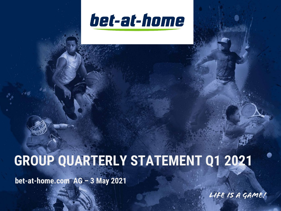

# **GROUP QUARTERLY STATEMENT Q1 2021**

**bet-at-home.com AG – 3 May 2021**

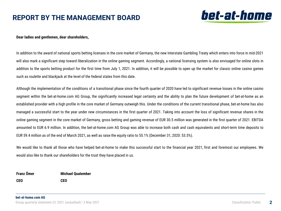### **REPORT BY THE MANAGEMENT BOARD**



### **Dear ladies and gentlemen, dear shareholders,**

In addition to the award of national sports betting licenses in the core market of Germany, the new Interstate Gambling Treaty which enters into force in mid-2021 will also mark a significant step toward liberalization in the online gaming segment. Accordingly, a national licensing system is also envisaged for online slots in addition to the sports betting product for the first time from July 1, 2021. In addition, it will be possible to open up the market for classic online casino games such as roulette and blackjack at the level of the federal states from this date.

Although the implementation of the conditions of a transitional phase since the fourth quarter of 2020 have led to significant revenue losses in the online casino segment within the bet-at-home.com AG Group, the significantly increased legal certainty and the ability to plan the future development of bet-at-home as an established provider with a high profile in the core market of Germany outweigh this. Under the conditions of the current transitional phase, bet-at-home has also managed a successful start to the year under new circumstances in the first quarter of 2021. Taking into account the loss of significant revenue shares in the online gaming segment in the core market of Germany, gross betting and gaming revenue of EUR 30.5 million was generated in the first quarter of 2021. EBITDA amounted to EUR 6.9 million. In addition, the bet-at-home.com AG Group was able to increase both cash and cash equivalents and short-term time deposits to EUR 59.4 million as of the end of March 2021, as well as raise the equity ratio to 55.1% (December 31, 2020: 53.5%).

We would like to thank all those who have helped bet-at-home to make this successful start to the financial year 2021, first and foremost our employees. We would also like to thank our shareholders for the trust they have placed in us.

**Franz Ömer CEO Michael Quatember CEO**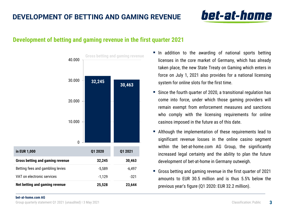# bet-at-home

### **Development of betting and gaming revenue in the first quarter 2021**



- In addition to the awarding of national sports betting licenses in the core market of Germany, which has already taken place, the new State Treaty on Gaming which enters in force on July 1, 2021 also provides for a national licensing system for online slots for the first time.
- Since the fourth quarter of 2020, a transitional regulation has come into force, under which those gaming providers will remain exempt from enforcement measures and sanctions who comply with the licensing requirements for online casinos imposed in the future as of this date.
- Although the implementation of these requirements lead to significant revenue losses in the online casino segment within the bet-at-home.com AG Group, the significantly increased legal certainty and the ability to plan the future development of bet-at-home in Germany outweigh.
- Gross betting and gaming revenue in the first quarter of 2021 amounts to EUR 30.5 million and is thus 5.5% below the previous year's figure (Q1 2020: EUR 32.2 million).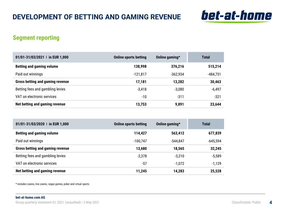

### **Segment reporting**

| 01/01-31/03/2021   in EUR 1,000  | <b>Online sports betting</b> | Online gaming* | <b>Total</b> |
|----------------------------------|------------------------------|----------------|--------------|
| <b>Betting and gaming volume</b> | 138,998                      | 376,216        | 515,214      |
| Paid out winnings                | $-121,817$                   | $-362,934$     | $-484,751$   |
| Gross betting and gaming revenue | 17,181                       | 13,282         | 30,463       |
| Betting fees and gambling levies | $-3,418$                     | $-3.080$       | $-6,497$     |
| VAT on electronic services       | $-10$                        | $-311$         | -321         |
| Net betting and gaming revenue   | 13,753                       | 9,891          | 23,644       |

| 01/01-31/03/2020   in EUR 1,000         | <b>Online sports betting</b> | Online gaming $*$ | <b>Total</b> |
|-----------------------------------------|------------------------------|-------------------|--------------|
| <b>Betting and gaming volume</b>        | 114,427                      | 563,412           | 677,839      |
| Paid out winnings                       | $-100,747$                   | $-544.847$        | $-645,594$   |
| <b>Gross betting and gaming revenue</b> | 13,680                       | 18,565            | 32,245       |
| Betting fees and gambling levies        | $-2,378$                     | $-3.210$          | $-5,589$     |
| VAT on electronic services              | $-57$                        | $-1.072$          | $-1,129$     |
| Net betting and gaming revenue          | 11,245                       | 14,283            | 25,528       |

\* includes casino, live casino, vegas games, poker and virtual sports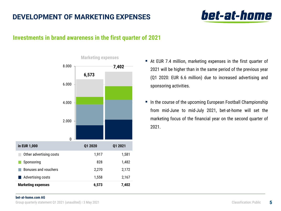### **DEVELOPMENT OF MARKETING EXPENSES**

# bet-at-home

### **Investments in brand awareness in the first quarter of 2021**



- At EUR 7.4 million, marketing expenses in the first quarter of 2021 will be higher than in the same period of the previous year (Q1 2020: EUR 6.6 million) due to increased advertising and sponsoring activities.
- In the course of the upcoming European Football Championship from mid-June to mid-July 2021, bet-at-home will set the marketing focus of the financial year on the second quarter of 2021.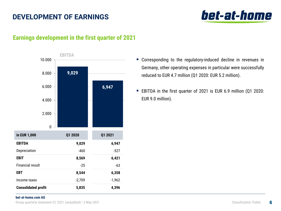## **DEVELOPMENT OF EARNINGS**



### **Earnings development in the first quarter of 2021**



- Corresponding to the regulatory-induced decline in revenues in Germany, other operating expenses in particular were successfully reduced to EUR 4.7 million (Q1 2020: EUR 5.2 million).
- EBITDA in the first quarter of 2021 is EUR 6.9 million (Q1 2020: EUR 9.0 million).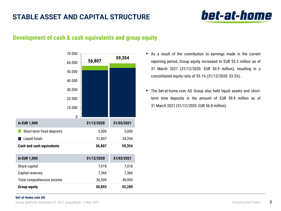### **STABLE ASSET AND CAPITAL STRUCTURE**

# bet-at-home

### **Development of cash & cash equivalents and group equity**

|                                  | 70.000 |            | 59,354     |
|----------------------------------|--------|------------|------------|
|                                  | 60.000 | 56,807     |            |
|                                  | 50.000 |            |            |
|                                  | 40.000 |            |            |
|                                  | 30.000 |            |            |
|                                  | 20.000 |            |            |
|                                  | 10.000 |            |            |
|                                  | 0      |            |            |
|                                  |        |            |            |
| in EUR 1,000                     |        | 31/12/2020 | 31/03/2021 |
| Short-term fixed deposits        |        | 5,000      | 5,000      |
| Liquid funds                     |        | 51,807     | 54,354     |
| <b>Cash and cash equivalents</b> |        | 56,807     | 59,354     |
| in EUR 1,000                     |        | 31/12/2020 | 31/03/2021 |
| Share capital                    |        | 7,018      | 7,018      |
| Capital reserves                 |        | 7,366      | 7,366      |
| Total comprehensive income       |        | 36,509     | 40,905     |

- As a result of the contribution to earnings made in the current reporting period, Group equity increased to EUR 55.3 million as of 31 March 2021 (31/12/2020: EUR 50.9 million), resulting in a consolidated equity ratio of 55.1% (31/12/2020: 53.5%).
- The bet-at-home.com AG Group also held liquid assets and shortterm time deposits in the amount of EUR 59.4 million as of 31 March 2021 (31/12/2020: EUR 56.8 million).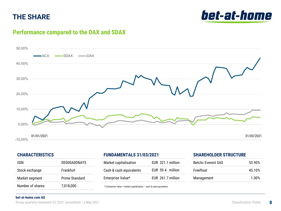### **THE SHARE**

bet-at-home

### **Performance compared to the DAX and SDAX**



### **CHARACTERISTICS**

| ISIN             | DE000A0DNAY5   |
|------------------|----------------|
| Stock exchange   | Frankfurt      |
| Market segment   | Prime Standard |
| Number of shares | 7,018,000      |

### **FUNDAMENTALS 31/03/2021**

| Market capitalisation   | EUR 321.1 million |
|-------------------------|-------------------|
| Cash & cash equivalents | EUR 59.4 million  |
| Enterprise Value*       | EUR 261.7 million |

\*) Enterprise Value = market capitalisation – cash & cash equivalents

### **SHAREHOLDER STRUCTURE**

| <b>Betclic Everest SAS</b> | 53.90% |
|----------------------------|--------|
| Freefloat                  | 45.10% |
| Management                 | 1.00%  |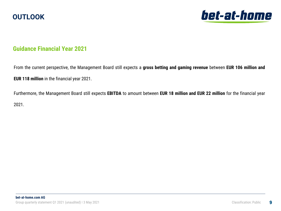



### **Guidance Financial Year 2021**

From the current perspective, the Management Board still expects a **gross betting and gaming revenue** between **EUR 106 million and EUR 118 million** in the financial year 2021.

Furthermore, the Management Board still expects **EBITDA** to amount between **EUR 18 million and EUR 22 million** for the financial year 2021.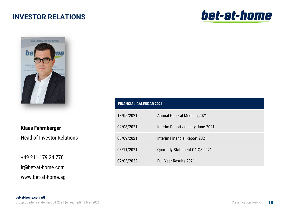### **INVESTOR RELATIONS**





**Klaus Fahrnberger**

Head of Investor Relations

+49 211 179 34 770

ir@bet-at-home.com

www.bet-at-home.ag

| <b>FINANCIAL CALENDAR 2021</b> |                                    |  |
|--------------------------------|------------------------------------|--|
| 18/05/2021                     | <b>Annual General Meeting 2021</b> |  |
| 02/08/2021                     | Interim Report January-June 2021   |  |
| 06/09/2021                     | Interim Financial Report 2021      |  |
| 08/11/2021                     | Quarterly Statement Q1-Q3 2021     |  |
| 07/03/2022                     | <b>Full Year Results 2021</b>      |  |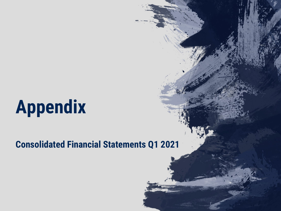# **Appendix**

# **Consolidated Financial Statements Q1 2021**

 $G$ roup  $G$  and  $G$   $\mathcal{L}$   $\mathcal{L}$   $\mathcal{L}$   $\mathcal{L}$   $\mathcal{L}$   $\mathcal{L}$   $\mathcal{L}$   $\mathcal{L}$   $\mathcal{L}$   $\mathcal{L}$   $\mathcal{L}$   $\mathcal{L}$   $\mathcal{L}$   $\mathcal{L}$   $\mathcal{L}$   $\mathcal{L}$   $\mathcal{L}$   $\mathcal{L}$   $\mathcal{L}$   $\mathcal{L}$   $\mathcal{L}$   $\mathcal{L}$   $\math$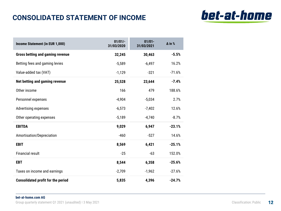# **CONSOLIDATED STATEMENT OF INCOME**



| Income Statement (in EUR 1,000)           | $01/01/-$<br>31/03/2020 | $01/01 -$<br>31/03/2021 | $\Delta$ in % |
|-------------------------------------------|-------------------------|-------------------------|---------------|
| <b>Gross betting and gaming revenue</b>   | 32,245                  | 30,463                  | $-5.5%$       |
| Betting fees and gaming levies            | $-5,589$                | $-6,497$                | 16.2%         |
| Value-added tax (VAT)                     | $-1,129$                | $-321$                  | $-71.6%$      |
| Net betting and gaming revenue            | 25,528                  | 23,644                  | $-7.4%$       |
| Other income                              | 166                     | 479                     | 188.6%        |
| Personnel expenses                        | $-4,904$                | $-5,034$                | 2.7%          |
| <b>Advertising expenses</b>               | $-6,573$                | $-7,402$                | 12.6%         |
| Other operating expenses                  | $-5,189$                | $-4,740$                | $-8.7%$       |
| <b>EBITDA</b>                             | 9,029                   | 6,947                   | $-23.1%$      |
| Amortisation/Depreciation                 | $-460$                  | $-527$                  | 14.6%         |
| <b>EBIT</b>                               | 8,569                   | 6,421                   | $-25.1%$      |
| <b>Financial result</b>                   | $-25$                   | $-63$                   | 152.0%        |
| <b>EBT</b>                                | 8,544                   | 6,358                   | $-25.6%$      |
| Taxes on income and earnings              | $-2,709$                | $-1,962$                | $-27.6%$      |
| <b>Consolidated profit for the period</b> | 5,835                   | 4,396                   | $-24.7%$      |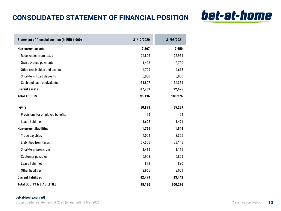# **CONSOLIDATED STATEMENT OF FINANCIAL POSITION**



bet-at-home